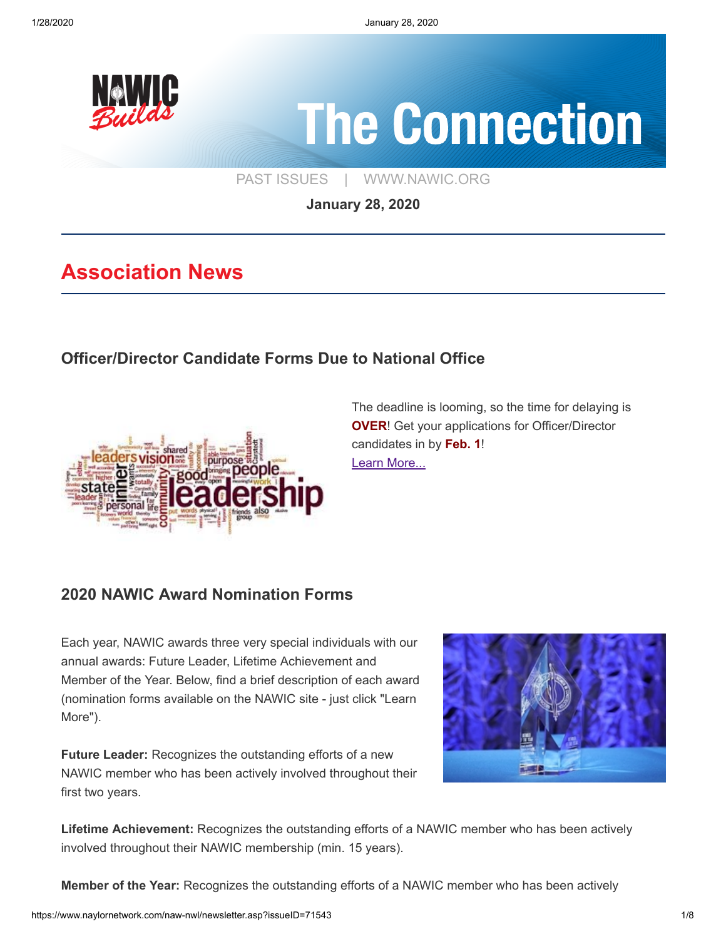

# **The Connection**

[PAST ISSUES](https://www.naylornetwork.com/naw-nwl/index.asp) | [WWW.NAWIC.ORG](https://www.nawic.org/nawic/default.asp)

**January 28, 2020**

## **Association News**

#### **[Officer/Director Candidate Forms Due to National Office](https://www.nawic.org/NewsBot.asp?MODE=VIEW&ID=379)**



The deadline is looming, so the time for delaying is **OVER!** Get your applications for Officer/Director candidates in by **Feb. 1**! [Learn More...](https://www.nawic.org/NewsBot.asp?MODE=VIEW&ID=379)

#### **[2020 NAWIC Award Nomination Forms](https://www.nawic.org/nawic/Awards.asp)**

Each year, NAWIC awards three very special individuals with our annual awards: Future Leader, Lifetime Achievement and Member of the Year. Below, find a brief description of each award (nomination forms available on the NAWIC site - just click "Learn More").

**Future Leader:** Recognizes the outstanding efforts of a new NAWIC member who has been actively involved throughout their first two years.



**Lifetime Achievement:** Recognizes the outstanding efforts of a NAWIC member who has been actively involved throughout their NAWIC membership (min. 15 years).

**Member of the Year:** Recognizes the outstanding efforts of a NAWIC member who has been actively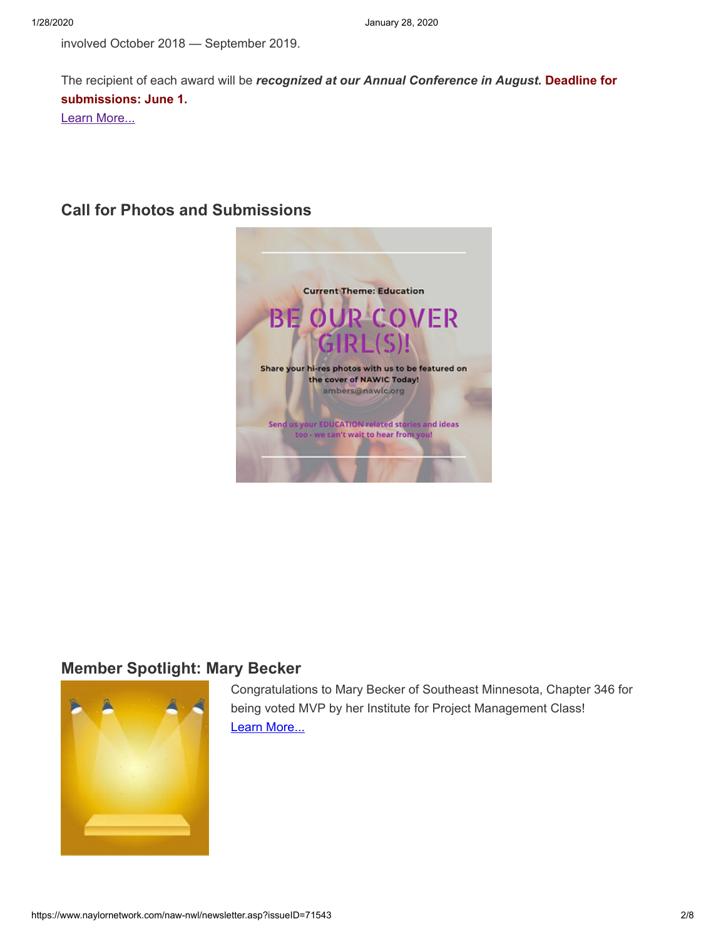involved October 2018 — September 2019.

The recipient of each award will be *recognized at our Annual Conference in August.* **Deadline for submissions: June 1.** [Learn More...](https://www.nawic.org/nawic/Awards.asp)

#### **[Call for Photos and Submissions](https://www.naylornetwork.com/naw-nwl/articles/index.asp?aid=599379&issueID=71543)**



#### **[Member Spotlight: Mary Becker](https://www.naylornetwork.com/naw-nwl/pdf/Rochester_Project_Manager_Mary_Becker_named_MVP_of_her_IPM_class.pdf)**



Congratulations to Mary Becker of Southeast Minnesota, Chapter 346 for being voted MVP by her Institute for Project Management Class! [Learn More...](https://www.naylornetwork.com/naw-nwl/pdf/Rochester_Project_Manager_Mary_Becker_named_MVP_of_her_IPM_class.pdf)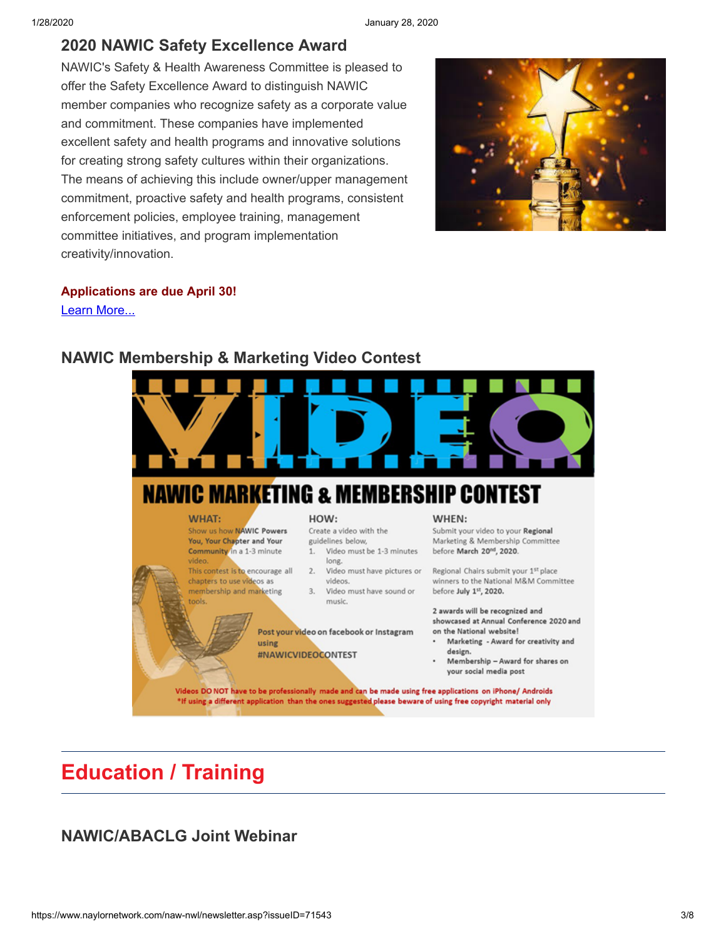#### **[2020 NAWIC Safety Excellence Award](https://www.naylornetwork.com/naw-nwl/www.nawic.org/nawic/Safety__Health_Awareness.asp)**

NAWIC's Safety & Health Awareness Committee is pleased to offer the Safety Excellence Award to distinguish NAWIC member companies who recognize safety as a corporate value and commitment. These companies have implemented excellent safety and health programs and innovative solutions for creating strong safety cultures within their organizations. The means of achieving this include owner/upper management commitment, proactive safety and health programs, consistent enforcement policies, employee training, management committee initiatives, and program implementation creativity/innovation.



#### **Applications are due April 30!**

[Learn More...](https://www.naylornetwork.com/naw-nwl/www.nawic.org/nawic/Safety__Health_Awareness.asp)



#### **[NAWIC Membership & Marketing Video Contest](https://www.naylornetwork.com/naw-nwl/articles/index.asp?aid=599551&issueID=71543)**

## **Education / Training**

#### **[NAWIC/ABACLG Joint Webinar](https://www.naylornetwork.com/naw-nwl/pdf/ABA.pdf)**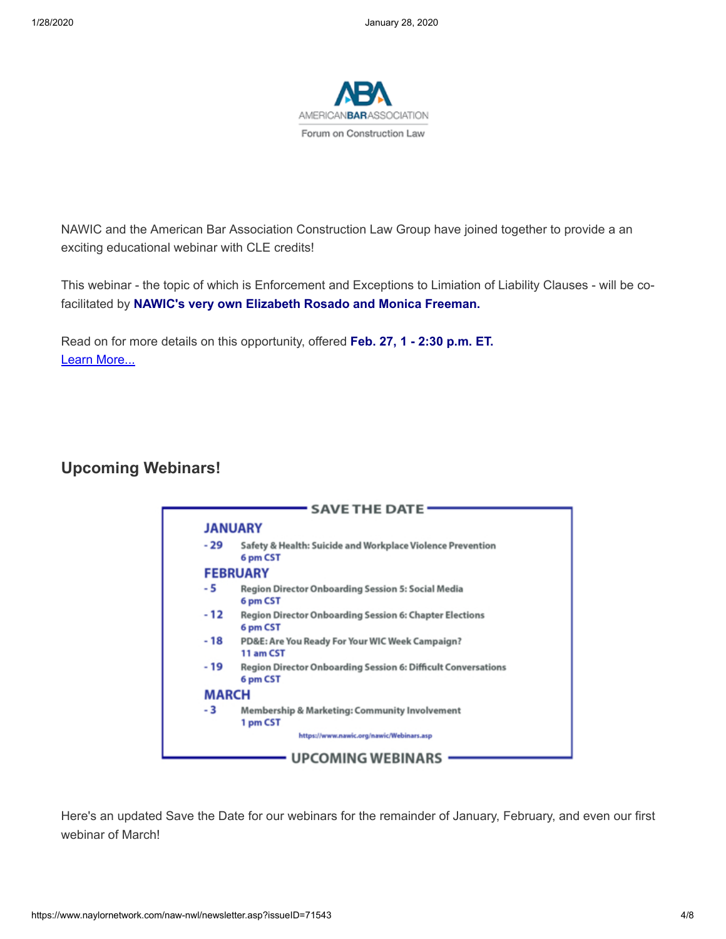

NAWIC and the American Bar Association Construction Law Group have joined together to provide a an exciting educational webinar with CLE credits!

This webinar - the topic of which is Enforcement and Exceptions to Limiation of Liability Clauses - will be cofacilitated by **NAWIC's very own Elizabeth Rosado and Monica Freeman.**

Read on for more details on this opportunity, offered **Feb. 27, 1 - 2:30 p.m. ET.** [Learn More...](https://www.naylornetwork.com/naw-nwl/pdf/ABA.pdf)

#### **[Upcoming Webinars!](https://www.naylornetwork.com/naw-nwl/articles/index.asp?aid=599409&issueID=71543)**



Here's an updated Save the Date for our webinars for the remainder of January, February, and even our first webinar of March!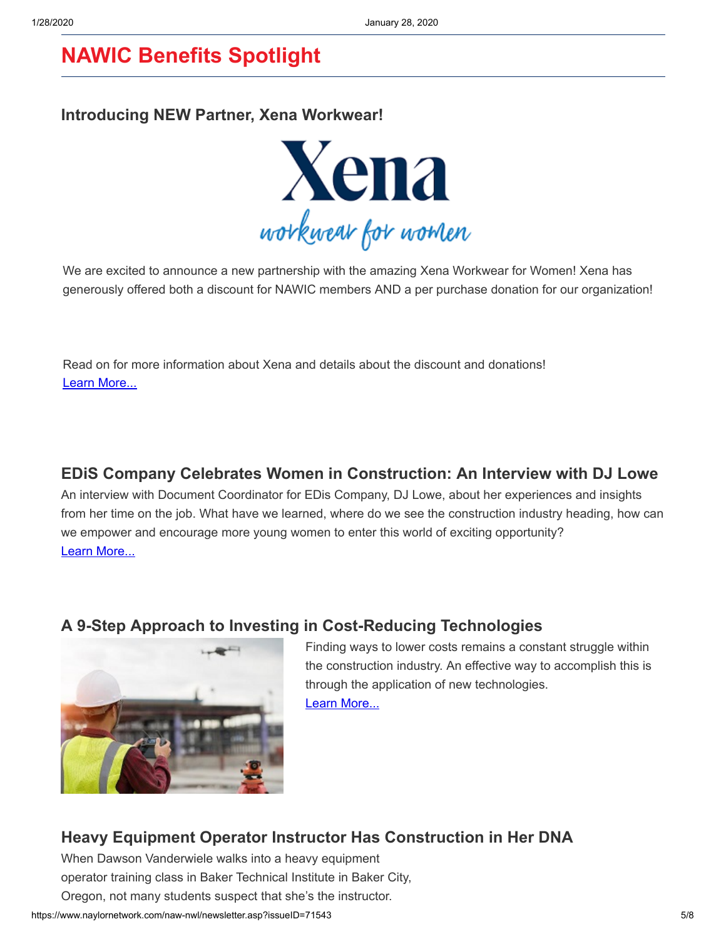## **NAWIC Benefits Spotlight**

#### **[Introducing NEW Partner, Xena Workwear!](https://www.naylornetwork.com/naw-nwl/articles/index.asp?aid=599342&issueID=71543)**



We are excited to announce a new partnership with the amazing Xena Workwear for Women! Xena has generously offered both a discount for NAWIC members AND a per purchase donation for our organization!

Read on for more information about Xena and details about the discount and donations! [Learn More...](https://www.naylornetwork.com/naw-nwl/articles/index.asp?aid=599342&issueID=71543)

#### **[EDiS Company Celebrates Women in Construction: An Interview with DJ Lowe](https://www.ediscompany.com/blog/wic-2019-interview-lowe/)**

An interview with Document Coordinator for EDis Company, DJ Lowe, about her experiences and insights from her time on the job. What have we learned, where do we see the construction industry heading, how can we empower and encourage more young women to enter this world of exciting opportunity? [Learn More...](https://www.ediscompany.com/blog/wic-2019-interview-lowe/)

#### **[A 9-Step Approach to Investing in Cost-Reducing Technologies](https://www.conexpoconagg.com/news/a-9-step-approach-to-investing-in-costreducing-tec/)**



Finding ways to lower costs remains a constant struggle within the construction industry. An effective way to accomplish this is through the application of new technologies. [Learn More...](https://www.conexpoconagg.com/news/a-9-step-approach-to-investing-in-costreducing-tec/)

#### **[Heavy Equipment Operator Instructor Has Construction in Her DNA](https://www.conexpoconagg.com/news/heavy-equipment-operator-instructor-has-constructi/)**

When Dawson Vanderwiele walks into a heavy equipment operator training class in Baker Technical Institute in Baker City, Oregon, not many students suspect that she's the instructor.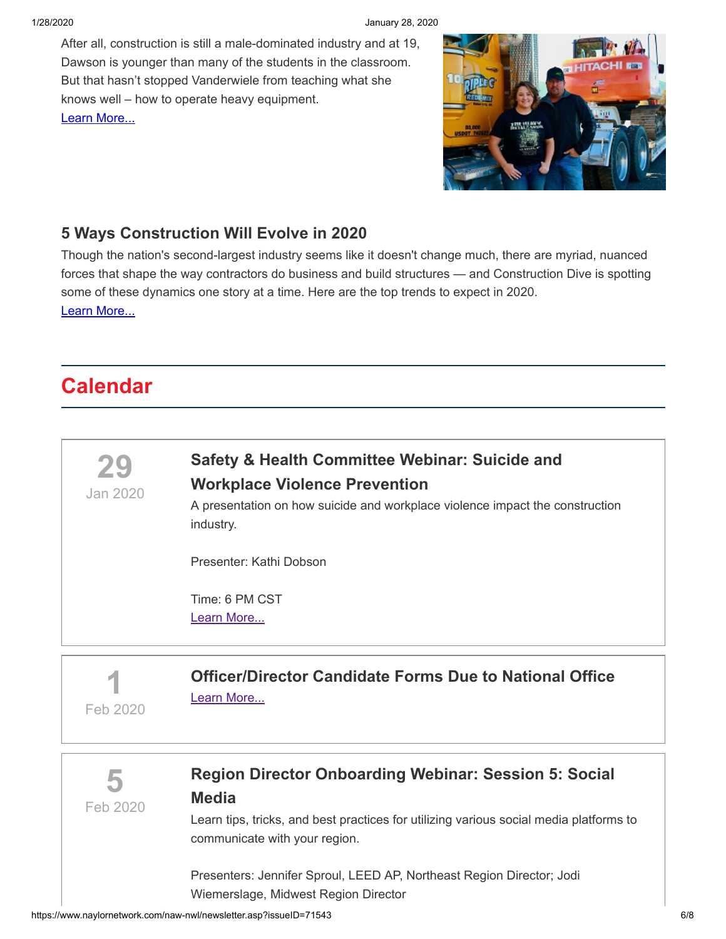#### 1/28/2020 January 28, 2020

After all, construction is still a male-dominated industry and at 19, Dawson is younger than many of the students in the classroom. But that hasn't stopped Vanderwiele from teaching what she knows well – how to operate heavy equipment. [Learn More...](https://www.conexpoconagg.com/news/heavy-equipment-operator-instructor-has-constructi/)



#### **[5 Ways Construction Will Evolve in 2020](https://www.constructiondive.com/news/top-trends-5-ways-construction-will-evolve-in-2020/569472/)**

Though the nation's second-largest industry seems like it doesn't change much, there are myriad, nuanced forces that shape the way contractors do business and build structures — and Construction Dive is spotting some of these dynamics one story at a time. Here are the top trends to expect in 2020. [Learn More...](https://www.constructiondive.com/news/top-trends-5-ways-construction-will-evolve-in-2020/569472/)

## **Calendar**

**29**

Jan 2020

#### **[Safety & Health Committee Webinar: Suicide and](https://www.nawic.org/nawic/Webinars.asp) Workplace Violence Prevention**

A presentation on how suicide and workplace violence impact the construction industry.

Presenter: Kathi Dobson

Time: 6 PM CST [Learn More...](https://www.nawic.org/nawic/Webinars.asp)

**1** Feb 2020

**[Officer/Director Candidate Forms Due to National Office](https://www.nawic.org/NewsBot.asp?MODE=VIEW&ID=379)** [Learn More...](https://www.nawic.org/NewsBot.asp?MODE=VIEW&ID=379)

**5** Feb 2020

#### **[Region Director Onboarding Webinar: Session 5: Social](https://www.naylornetwork.com/naw-nwl/pdf/Region_Director_Onboarding_Feb_5.pdf) Media**

Learn tips, tricks, and best practices for utilizing various social media platforms to communicate with your region.

Presenters: Jennifer Sproul, LEED AP, Northeast Region Director; Jodi Wiemerslage, Midwest Region Director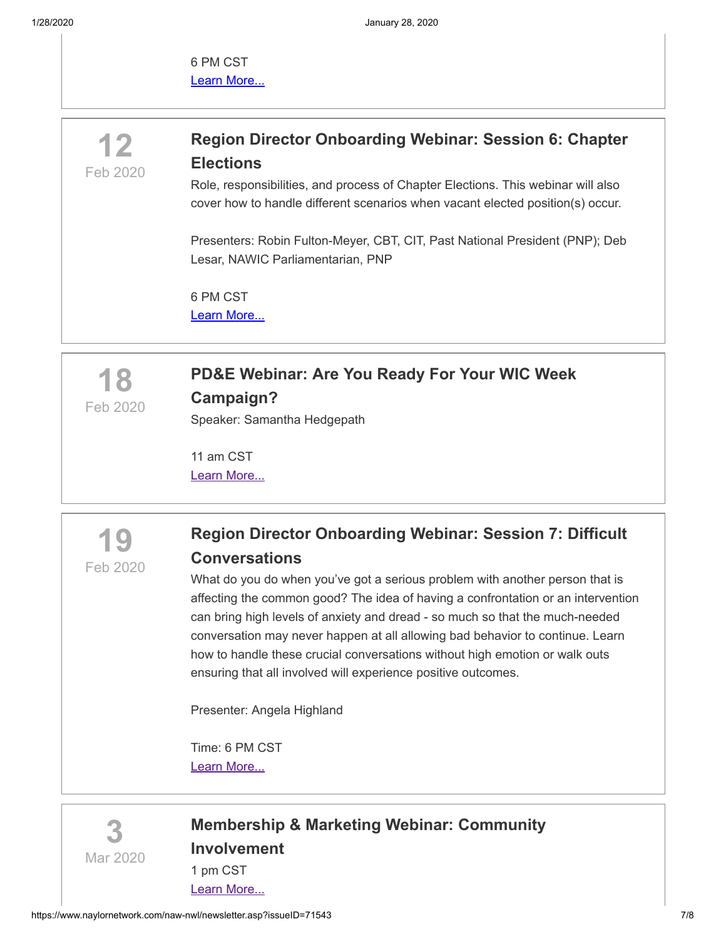1/28/2020 January 28, 2020

6 PM CST [Learn More...](https://www.naylornetwork.com/naw-nwl/pdf/Region_Director_Onboarding_Feb_5.pdf)

### **[Region Director Onboarding Webinar: Session 6: Chapter](https://www.naylornetwork.com/naw-nwl/pdf/Region_Director_Onboarding_Feb_12.pdf) Elections**

Role, responsibilities, and process of Chapter Elections. This webinar will also cover how to handle different scenarios when vacant elected position(s) occur.

Presenters: Robin Fulton-Meyer, CBT, CIT, Past National President (PNP); Deb Lesar, NAWIC Parliamentarian, PNP

6 PM CST [Learn More...](https://www.naylornetwork.com/naw-nwl/pdf/Region_Director_Onboarding_Feb_12.pdf)



**12**

Feb 2020

## **[PD&E Webinar: Are You Ready For Your WIC Week](https://www.nawic.org/nawic/Webinars.asp) Campaign?**

Speaker: Samantha Hedgepath

11 am CST [Learn More...](https://www.nawic.org/nawic/Webinars.asp)



#### **[Region Director Onboarding Webinar: Session 7: Difficult](https://www.nawic.org/nawic/Webinars.asp) Conversations**

What do you do when you've got a serious problem with another person that is affecting the common good? The idea of having a confrontation or an intervention can bring high levels of anxiety and dread - so much so that the much-needed conversation may never happen at all allowing bad behavior to continue. Learn how to handle these crucial conversations without high emotion or walk outs ensuring that all involved will experience positive outcomes.

Presenter: Angela Highland

Time: 6 PM CST [Learn More...](https://www.nawic.org/nawic/Webinars.asp)



#### **[Membership & Marketing Webinar: Community](https://www.nawic.org/nawic/Webinars.asp) Involvement** 1 pm CST

[Learn More...](https://www.nawic.org/nawic/Webinars.asp)